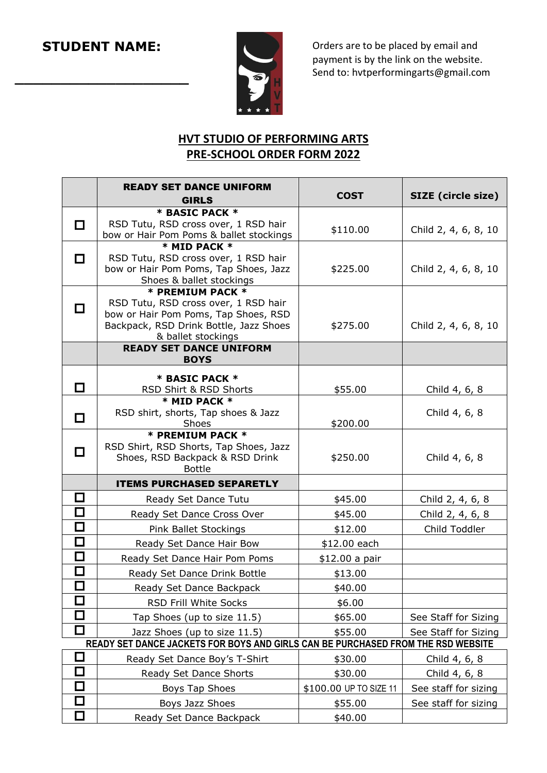**\_\_\_\_\_\_\_\_\_\_\_\_\_\_\_\_\_\_\_**



Orders are to be placed by email and payment is by the link on the website. Send to: hvtperformingarts@gmail.com

## **HVT STUDIO OF PERFORMING ARTS PRE-SCHOOL ORDER FORM 2022**

|                             | <b>READY SET DANCE UNIFORM</b>                                                                    | <b>COST</b>            | SIZE (circle size)   |
|-----------------------------|---------------------------------------------------------------------------------------------------|------------------------|----------------------|
|                             | <b>GIRLS</b>                                                                                      |                        |                      |
| $\Box$                      | * BASIC PACK *<br>RSD Tutu, RSD cross over, 1 RSD hair<br>bow or Hair Pom Poms & ballet stockings | \$110.00               | Child 2, 4, 6, 8, 10 |
|                             | * MID PACK *                                                                                      |                        |                      |
| П                           | RSD Tutu, RSD cross over, 1 RSD hair                                                              |                        |                      |
|                             | bow or Hair Pom Poms, Tap Shoes, Jazz                                                             | \$225.00               | Child 2, 4, 6, 8, 10 |
|                             | Shoes & ballet stockings                                                                          |                        |                      |
|                             | * PREMIUM PACK *<br>RSD Tutu, RSD cross over, 1 RSD hair                                          |                        |                      |
| □                           | bow or Hair Pom Poms, Tap Shoes, RSD                                                              |                        |                      |
|                             | Backpack, RSD Drink Bottle, Jazz Shoes                                                            | \$275.00               | Child 2, 4, 6, 8, 10 |
|                             | & ballet stockings                                                                                |                        |                      |
|                             | <b>READY SET DANCE UNIFORM</b><br><b>BOYS</b>                                                     |                        |                      |
|                             | * BASIC PACK *                                                                                    |                        |                      |
| П                           | RSD Shirt & RSD Shorts                                                                            | \$55.00                | Child 4, 6, 8        |
|                             | * MID PACK *                                                                                      |                        |                      |
| □                           | RSD shirt, shorts, Tap shoes & Jazz                                                               |                        | Child 4, 6, 8        |
|                             | Shoes                                                                                             | \$200.00               |                      |
|                             | * PREMIUM PACK *<br>RSD Shirt, RSD Shorts, Tap Shoes, Jazz                                        |                        |                      |
|                             |                                                                                                   |                        |                      |
| □                           |                                                                                                   |                        |                      |
|                             | Shoes, RSD Backpack & RSD Drink<br><b>Bottle</b>                                                  | \$250.00               | Child 4, 6, 8        |
|                             | <b>ITEMS PURCHASED SEPARETLY</b>                                                                  |                        |                      |
| □                           | Ready Set Dance Tutu                                                                              | \$45.00                | Child 2, 4, 6, 8     |
| □                           | Ready Set Dance Cross Over                                                                        | \$45.00                | Child 2, 4, 6, 8     |
| $\Box$                      | Pink Ballet Stockings                                                                             | \$12.00                | Child Toddler        |
| $\Box$                      | Ready Set Dance Hair Bow                                                                          | \$12.00 each           |                      |
| $\Box$                      | Ready Set Dance Hair Pom Poms                                                                     | \$12.00 a pair         |                      |
| $\Box$                      | Ready Set Dance Drink Bottle                                                                      | \$13.00                |                      |
| $\Box$                      | Ready Set Dance Backpack                                                                          | \$40.00                |                      |
| $\Box$                      | RSD Frill White Socks                                                                             | \$6.00                 |                      |
| $\mathcal{L}$               | Tap Shoes (up to size 11.5)                                                                       | \$65.00                | See Staff for Sizing |
| $\Box$                      | Jazz Shoes (up to size 11.5)                                                                      | \$55.00                | See Staff for Sizing |
|                             | READY SET DANCE JACKETS FOR BOYS AND GIRLS CAN BE PURCHASED FROM THE RSD WEBSITE                  |                        |                      |
| $\mathcal{L}_{\mathcal{A}}$ | Ready Set Dance Boy's T-Shirt                                                                     | \$30.00                | Child 4, 6, 8        |
| $\Box$                      | Ready Set Dance Shorts                                                                            | \$30.00                | Child 4, 6, 8        |
| $\Box$                      | Boys Tap Shoes                                                                                    | \$100.00 UP TO SIZE 11 | See staff for sizing |
| $\Box$                      | Boys Jazz Shoes                                                                                   | \$55.00                | See staff for sizing |